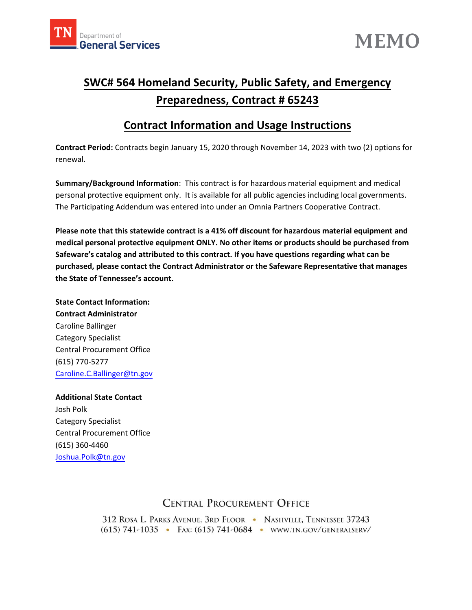



# **SWC# 564 Homeland Security, Public Safety, and Emergency Preparedness, Contract # 65243**

# **Contract Information and Usage Instructions**

**Contract Period:** Contracts begin January 15, 2020 through November 14, 2023 with two (2) options for renewal.

**Summary/Background Information**: This contract is for hazardous material equipment and medical personal protective equipment only. It is available for all public agencies including local governments. The Participating Addendum was entered into under an Omnia Partners Cooperative Contract.

**Please note that this statewide contract is a 41% off discount for hazardous material equipment and medical personal protective equipment ONLY. No other items or products should be purchased from Safeware's catalog and attributed to this contract. If you have questions regarding what can be purchased, please contact the Contract Administrator or the Safeware Representative that manages the State of Tennessee's account.**

**State Contact Information: Contract Administrator** Caroline Ballinger Category Specialist Central Procurement Office (615) 770-5277 [Caroline.C.Ballinger@](mailto:Michael.t.neely@tn.gov)tn.gov

**Additional State Contact** Josh Polk Category Specialist Central Procurement Office (615) 360-4460 [Joshua.Pol](mailto:Lindsey.Lattner@tn.gov)k@tn.gov

## **CENTRAL PROCUREMENT OFFICE**

312 ROSA L. PARKS AVENUE, 3RD FLOOR • NASHVILLE, TENNESSEE 37243 (615) 741-1035 · FAX: (615) 741-0684 · WWW.TN.GOV/GENERALSERV/